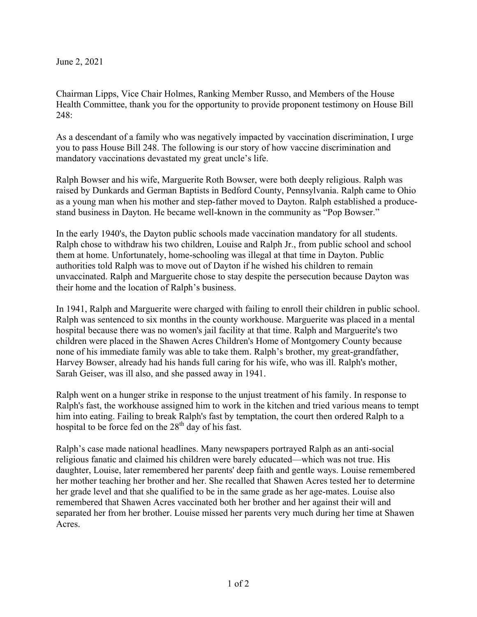June 2, 2021

Chairman Lipps, Vice Chair Holmes, Ranking Member Russo, and Members of the House Health Committee, thank you for the opportunity to provide proponent testimony on House Bill 248:

As a descendant of a family who was negatively impacted by vaccination discrimination, I urge you to pass House Bill 248. The following is our story of how vaccine discrimination and mandatory vaccinations devastated my great uncle's life.

Ralph Bowser and his wife, Marguerite Roth Bowser, were both deeply religious. Ralph was raised by Dunkards and German Baptists in Bedford County, Pennsylvania. Ralph came to Ohio as a young man when his mother and step-father moved to Dayton. Ralph established a producestand business in Dayton. He became well-known in the community as "Pop Bowser."

In the early 1940's, the Dayton public schools made vaccination mandatory for all students. Ralph chose to withdraw his two children, Louise and Ralph Jr., from public school and school them at home. Unfortunately, home-schooling was illegal at that time in Dayton. Public authorities told Ralph was to move out of Dayton if he wished his children to remain unvaccinated. Ralph and Marguerite chose to stay despite the persecution because Dayton was their home and the location of Ralph's business.

In 1941, Ralph and Marguerite were charged with failing to enroll their children in public school. Ralph was sentenced to six months in the county workhouse. Marguerite was placed in a mental hospital because there was no women's jail facility at that time. Ralph and Marguerite's two children were placed in the Shawen Acres Children's Home of Montgomery County because none of his immediate family was able to take them. Ralph's brother, my great-grandfather, Harvey Bowser, already had his hands full caring for his wife, who was ill. Ralph's mother, Sarah Geiser, was ill also, and she passed away in 1941.

Ralph went on a hunger strike in response to the unjust treatment of his family. In response to Ralph's fast, the workhouse assigned him to work in the kitchen and tried various means to tempt him into eating. Failing to break Ralph's fast by temptation, the court then ordered Ralph to a hospital to be force fed on the  $28<sup>th</sup>$  day of his fast.

Ralph's case made national headlines. Many newspapers portrayed Ralph as an anti-social religious fanatic and claimed his children were barely educated—which was not true. His daughter, Louise, later remembered her parents' deep faith and gentle ways. Louise remembered her mother teaching her brother and her. She recalled that Shawen Acres tested her to determine her grade level and that she qualified to be in the same grade as her age-mates. Louise also remembered that Shawen Acres vaccinated both her brother and her against their will and separated her from her brother. Louise missed her parents very much during her time at Shawen Acres.